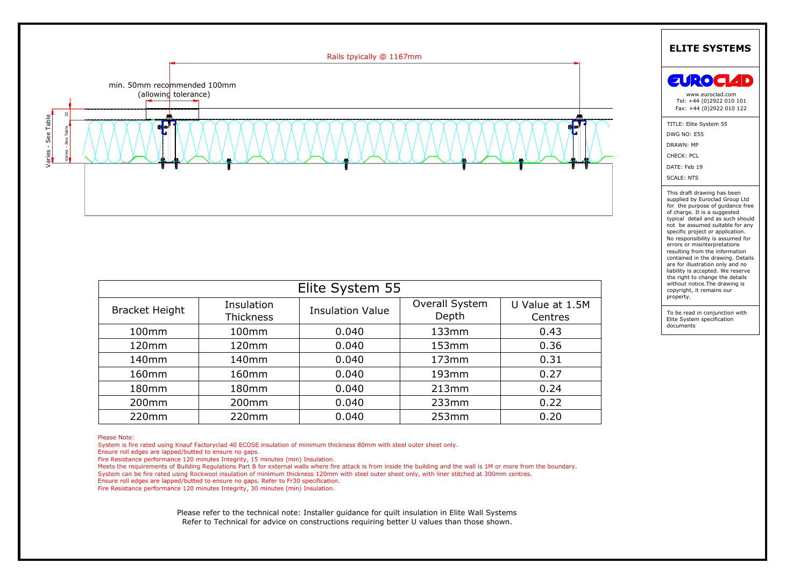

| Elite System 55       |                                |                         |                         |                            |
|-----------------------|--------------------------------|-------------------------|-------------------------|----------------------------|
| <b>Bracket Height</b> | Insulation<br><b>Thickness</b> | <b>Insulation Value</b> | Overall System<br>Depth | U Value at 1.5M<br>Centres |
| 100mm                 | 100mm                          | 0.040                   | 133mm                   | 0.43                       |
| 120mm                 | 120mm                          | 0.040                   | 153mm                   | 0.36                       |
| 140mm                 | 140mm                          | 0.040                   | 173mm                   | 0.31                       |
| 160 <sub>mm</sub>     | 160 <sub>mm</sub>              | 0.040                   | 193mm                   | 0.27                       |
| 180mm                 | 180mm                          | 0.040                   | 213mm                   | 0.24                       |
| 200mm                 | 200mm                          | 0.040                   | 233mm                   | 0.22                       |
| 220mm                 | 220mm                          | 0.040                   | 253mm                   | 0.20                       |

Ensure roll edges are lapped/butted to ensure no gaps.<br>
Fire Resistance performance 120 minutes Integrity, 15 minutes (min) Insulation.<br>
Please the requirements of Building Regulations Part B for external walls where fire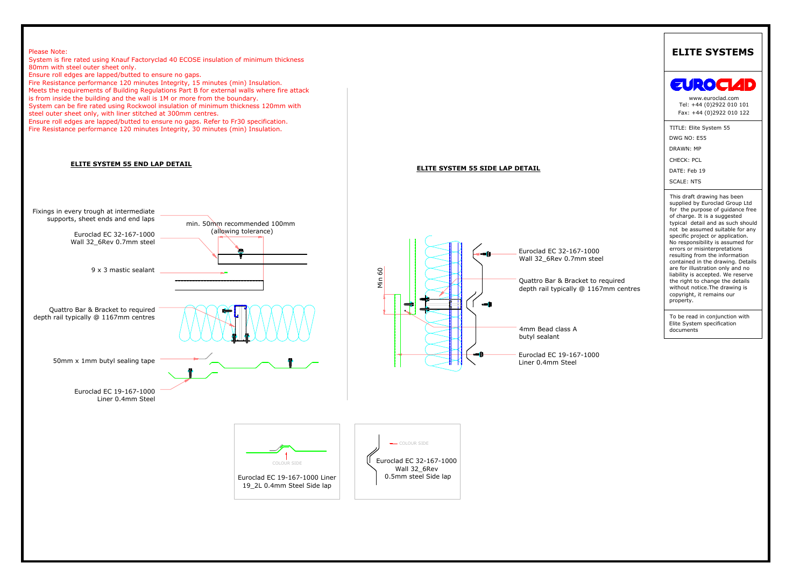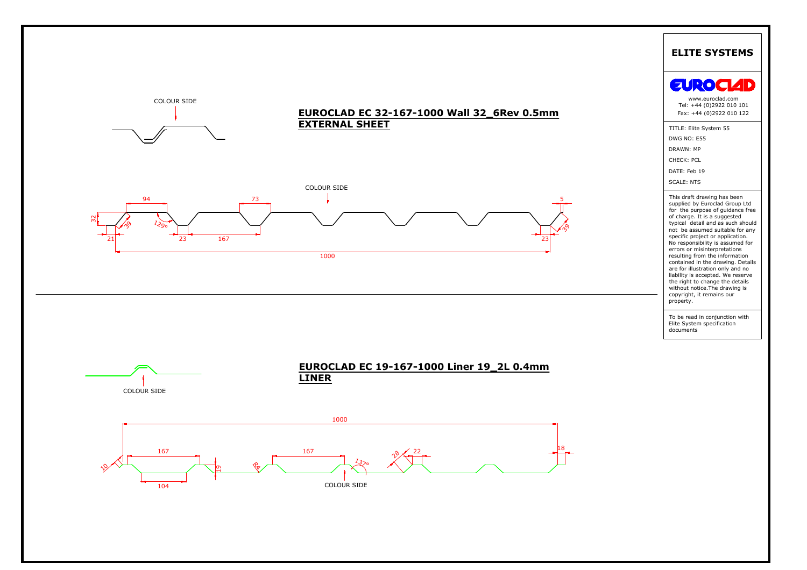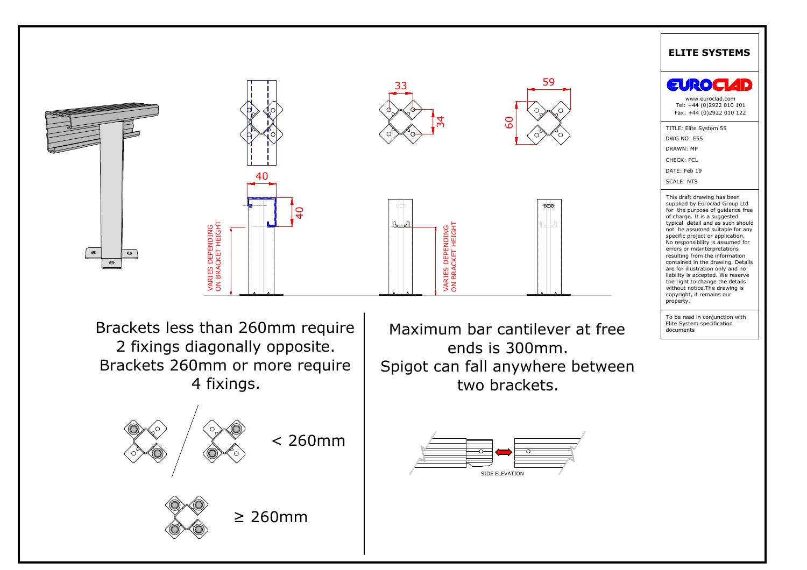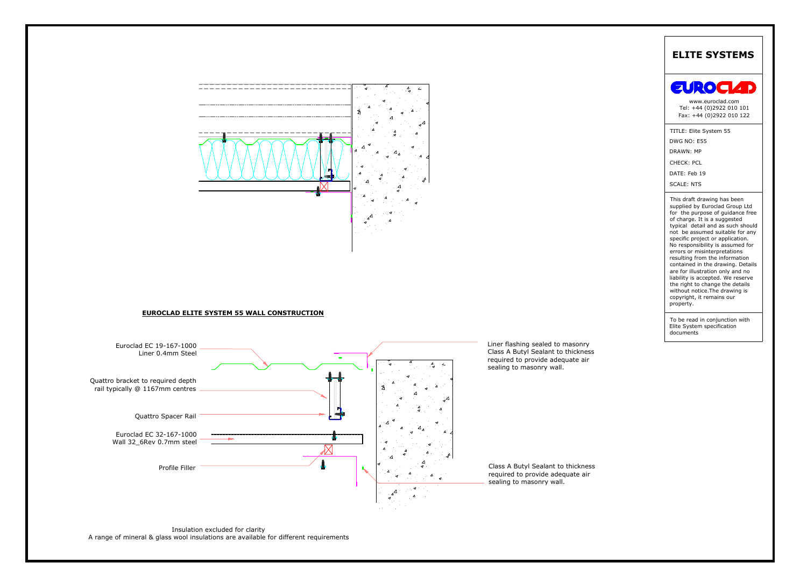





Insulation excluded for clarity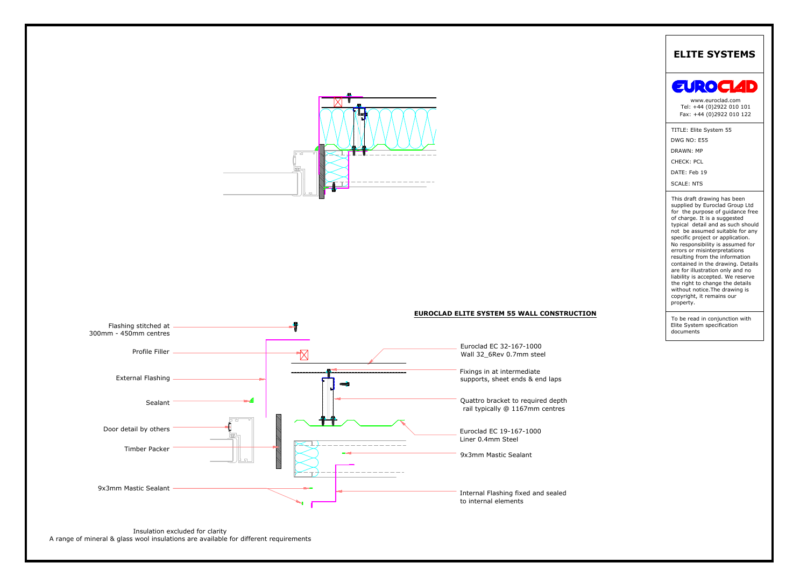

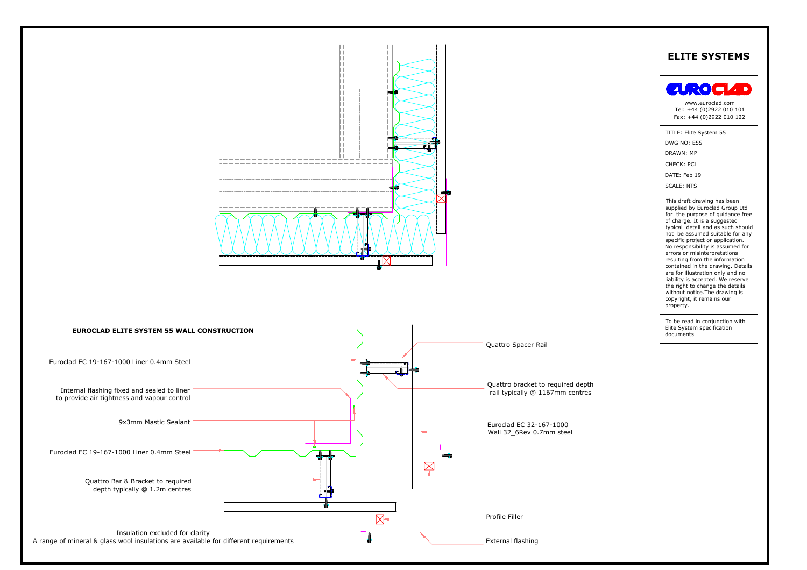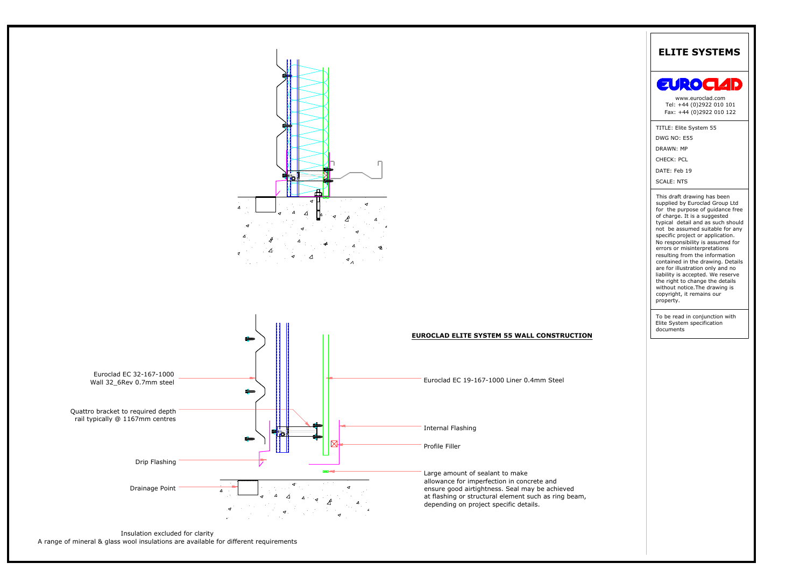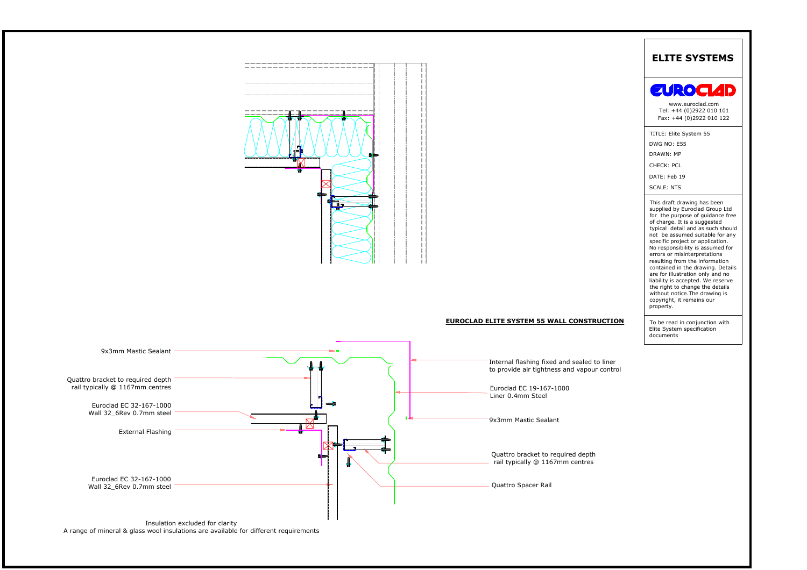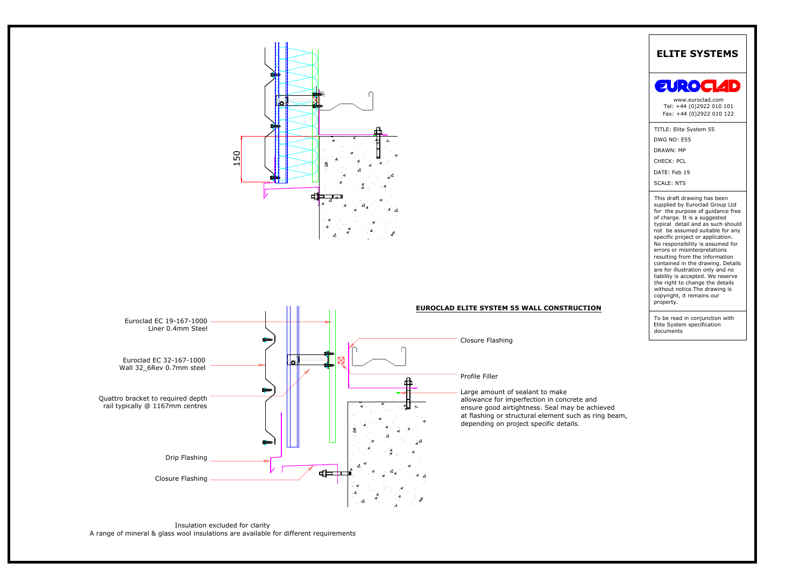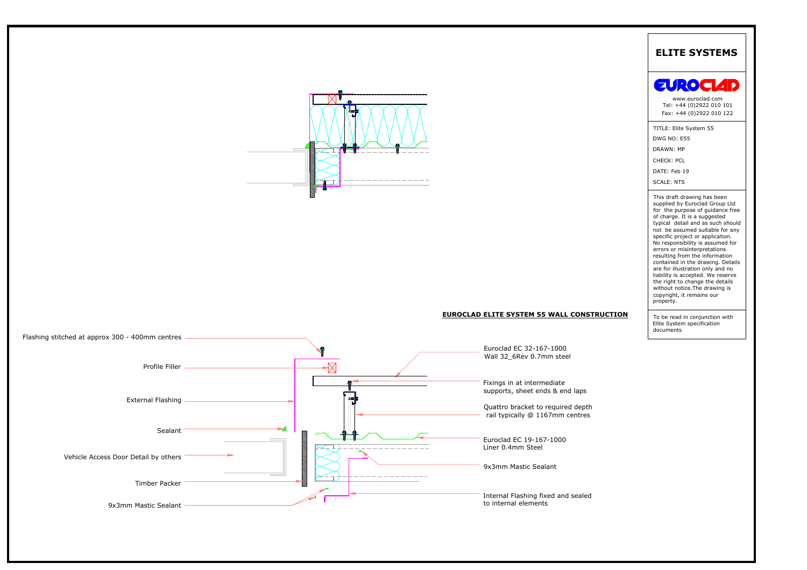



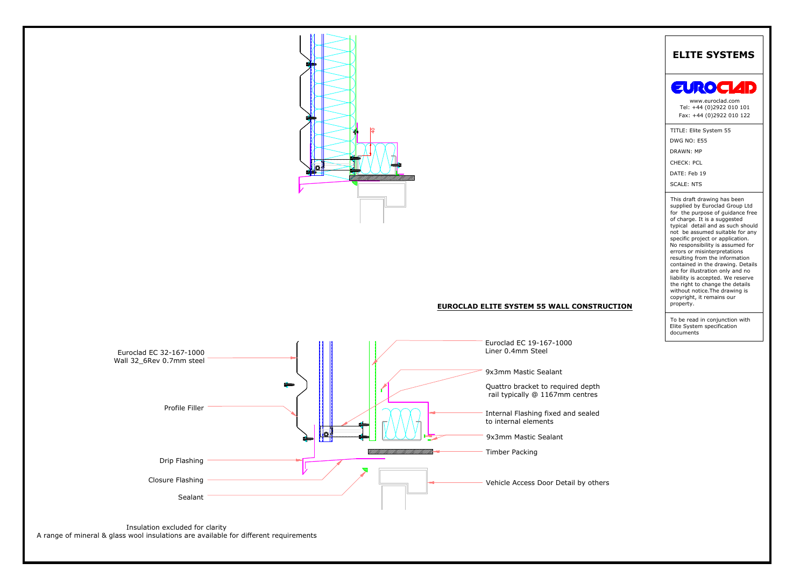

# **EUROCLAD ELITE SYSTEM 55 WALL CONSTRUCTION**

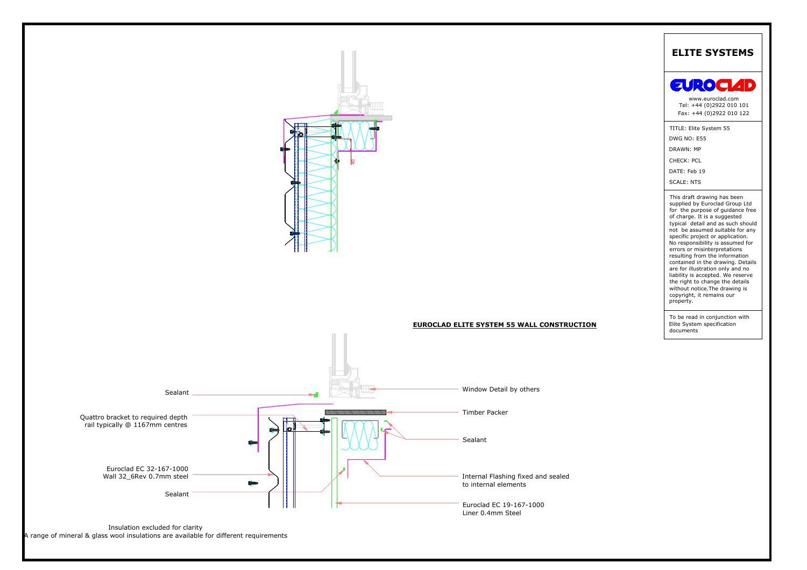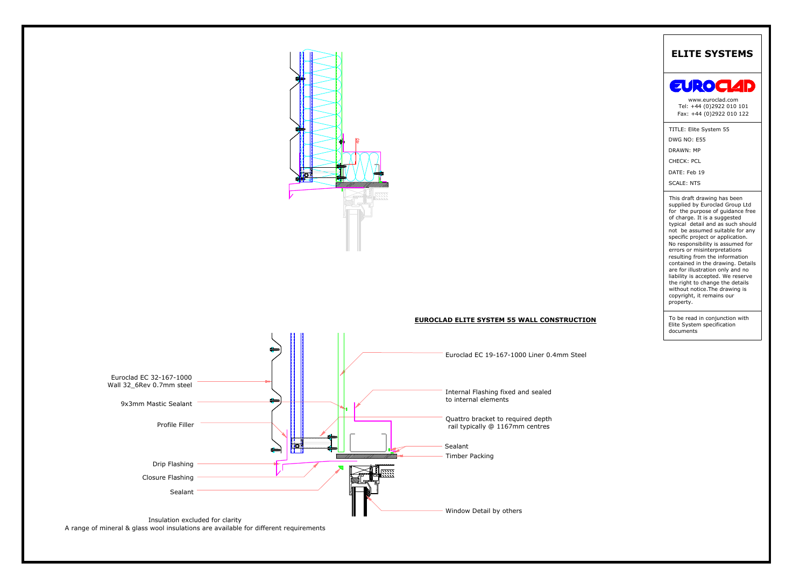





A range of mineral & glass wool insulations are available for different requirements